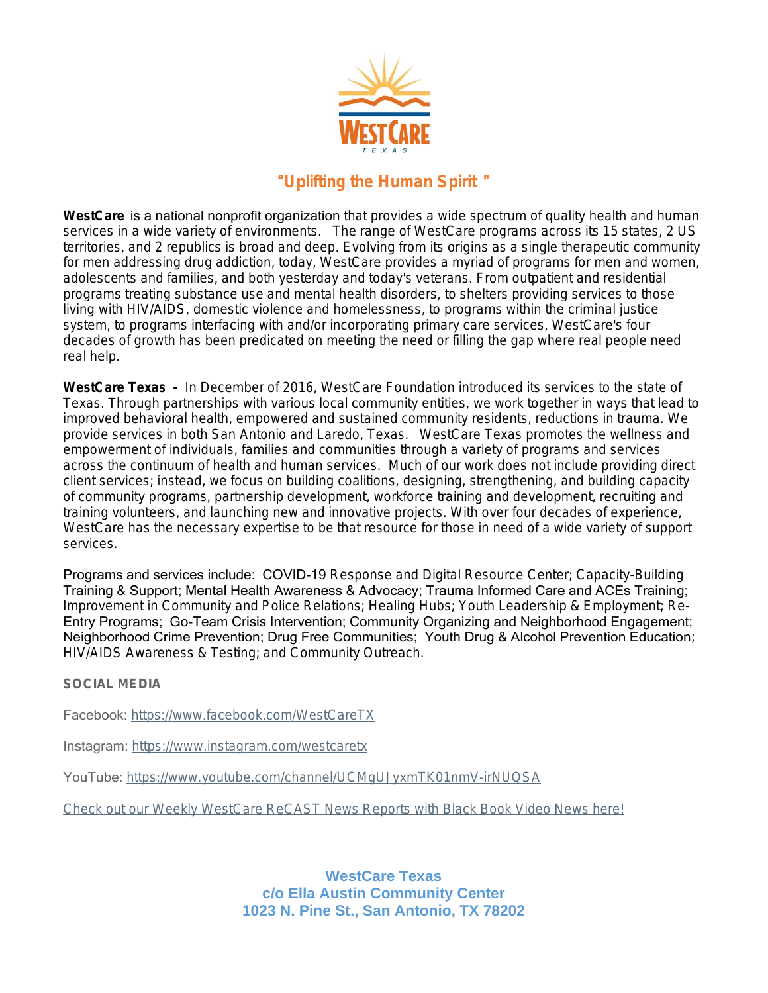

## "*Uplifting the Human Spirit* "

WestCare is a national nonprofit organization that provides a wide spectrum of quality health and human services in a wide variety of environments. The range of WestCare programs across its 15 states, 2 US territories, and 2 republics is broad and deep. Evolving from its origins as a single therapeutic community for men addressing drug addiction, today, WestCare provides a myriad of programs for men and women, adolescents and families, and both yesterday and today's veterans. From outpatient and residential programs treating substance use and mental health disorders, to shelters providing services to those living with HIV/AIDS, domestic violence and homelessness, to programs within the criminal justice system, to programs interfacing with and/or incorporating primary care services, WestCare's four decades of growth has been predicated on meeting the need or filling the gap where real people need real help.

**WestCare Texas -** In December of 2016, WestCare Foundation introduced its services to the state of Texas. Through partnerships with various local community entities, we work together in ways that lead to improved behavioral health, empowered and sustained community residents, reductions in trauma. We provide services in both San Antonio and Laredo, Texas. WestCare Texas promotes the wellness and empowerment of individuals, families and communities through a variety of programs and services across the continuum of health and human services. Much of our work does not include providing direct client services; instead, we focus on building coalitions, designing, strengthening, and building capacity of community programs, partnership development, workforce training and development, recruiting and training volunteers, and launching new and innovative projects. With over four decades of experience, WestCare has the necessary expertise to be that resource for those in need of a wide variety of support services.

Programs and services include: COVID-19 Response and Digital Resource Center; Capacity-Building Training & Support; Mental Health Awareness & Advocacy; Trauma Informed Care and ACEs Training; Improvement in Community and Police Relations; Healing Hubs; Youth Leadership & Employment; Re-Entry Programs; Go-Team Crisis Intervention; Community Organizing and Neighborhood Engagement; Neighborhood Crime Prevention; Drug Free Communities; Youth Drug & Alcohol Prevention Education; HIV/AIDS Awareness & Testing; and Community Outreach.

**SOCIAL MEDIA**

Facebook: [https://www.facebook.com/WestCareTX](https://www.facebook.com/WestCareTX/)

Instagram: [https://www.instagram.com/westcaretx](https://www.instagram.com/westcaretx/)

YouTube: <https://www.youtube.com/channel/UCMgUJyxmTK01nmV-irNUQSA>

[Check out our Weekly WestCare ReCAST News Reports with Black Book Video News here!](https://www.youtube.com/user/BlackVideoNetwork/videos)

**WestCare Texas c/o Ella Austin Community Center 1023 N. Pine St., San Antonio, TX 78202**